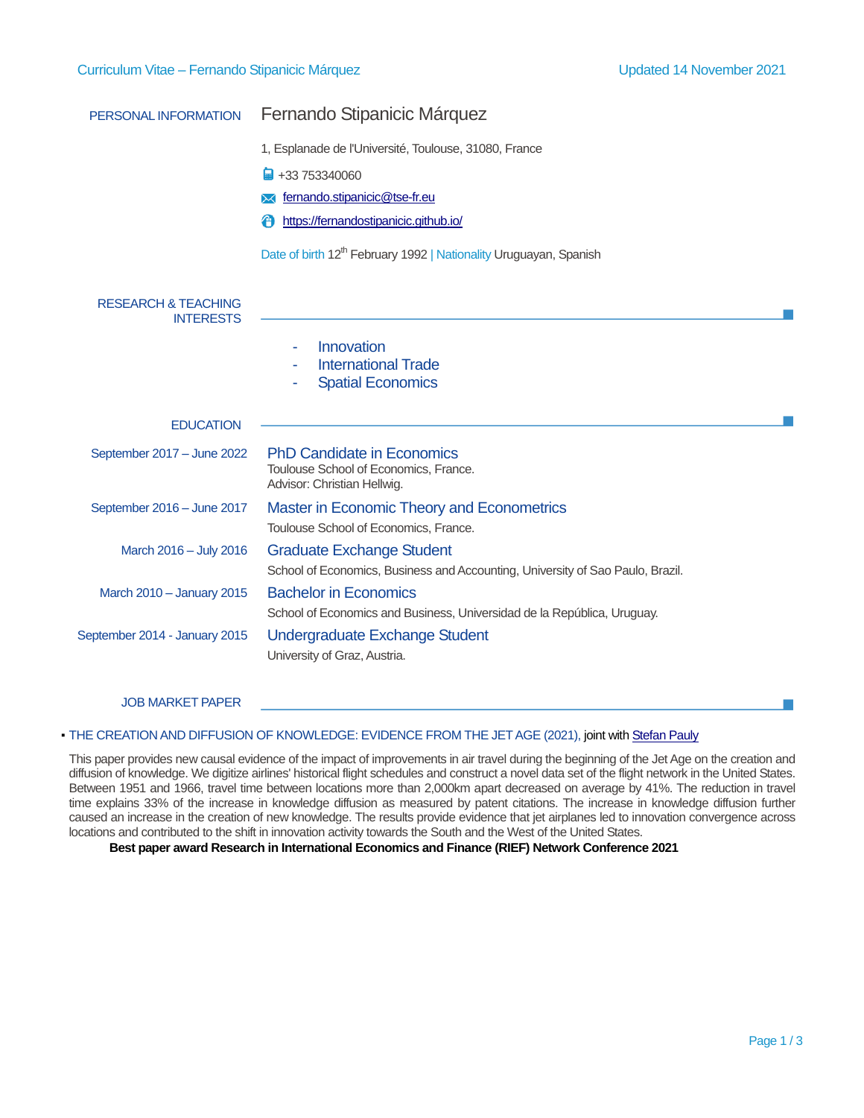| PERSONAL INFORMATION                               | Fernando Stipanicic Márquez                                                                                        |
|----------------------------------------------------|--------------------------------------------------------------------------------------------------------------------|
|                                                    | 1, Esplanade de l'Université, Toulouse, 31080, France                                                              |
|                                                    | +33 753340060                                                                                                      |
|                                                    | fernando.stipanicic@tse-fr.eu                                                                                      |
|                                                    | https://fernandostipanicic.github.io/                                                                              |
|                                                    | Date of birth 12 <sup>th</sup> February 1992   Nationality Uruguayan, Spanish                                      |
| <b>RESEARCH &amp; TEACHING</b><br><b>INTERESTS</b> |                                                                                                                    |
|                                                    | Innovation<br>÷<br><b>International Trade</b><br><b>Spatial Economics</b>                                          |
| <b>EDUCATION</b>                                   |                                                                                                                    |
| September 2017 - June 2022                         | <b>PhD Candidate in Economics</b><br>Toulouse School of Economics, France.<br>Advisor: Christian Hellwig.          |
| September 2016 - June 2017                         | Master in Economic Theory and Econometrics<br>Toulouse School of Economics, France.                                |
| March 2016 - July 2016                             | <b>Graduate Exchange Student</b><br>School of Economics, Business and Accounting, University of Sao Paulo, Brazil. |
| March 2010 - January 2015                          | <b>Bachelor in Economics</b><br>School of Economics and Business, Universidad de la República, Uruguay.            |
| September 2014 - January 2015                      | <b>Undergraduate Exchange Student</b><br>University of Graz, Austria.                                              |

JOB MARKET PAPER

## · THE CREATION AND DIFFUSION OF KNOWLEDGE: EVIDENCE FROM THE JET AGE (2021), joint with [Stefan Pauly](https://stefanpauly.net/)

This paper provides new causal evidence of the impact of improvements in air travel during the beginning of the Jet Age on the creation and diffusion of knowledge. We digitize airlines' historical flight schedules and construct a novel data set of the flight network in the United States. Between 1951 and 1966, travel time between locations more than 2,000km apart decreased on average by 41%. The reduction in travel time explains 33% of the increase in knowledge diffusion as measured by patent citations. The increase in knowledge diffusion further caused an increase in the creation of new knowledge. The results provide evidence that jet airplanes led to innovation convergence across locations and contributed to the shift in innovation activity towards the South and the West of the United States.

 **Best paper award Research in International Economics and Finance (RIEF) Network Conference 2021**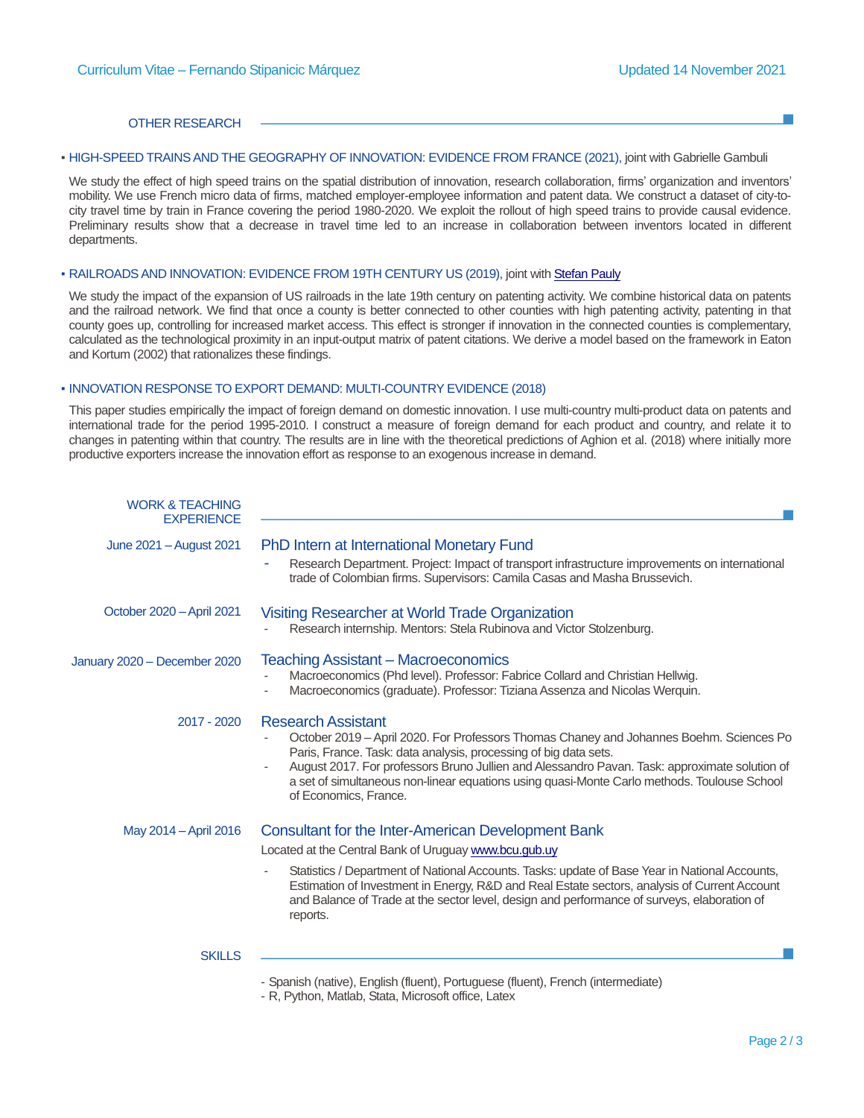#### OTHER RESEARCH

### **• HIGH-SPEED TRAINS AND THE GEOGRAPHY OF INNOVATION: EVIDENCE FROM FRANCE (2021), joint with Gabrielle Gambuli**

We study the effect of high speed trains on the spatial distribution of innovation, research collaboration, firms' organization and inventors' mobility. We use French micro data of firms, matched employer-employee information and patent data. We construct a dataset of city-tocity travel time by train in France covering the period 1980-2020. We exploit the rollout of high speed trains to provide causal evidence. Preliminary results show that a decrease in travel time led to an increase in collaboration between inventors located in different departments.

### ▪ RAILROADS AND INNOVATION: EVIDENCE FROM 19TH CENTURY US (2019), joint with [Stefan Pauly](https://stefanpauly.net/)

We study the impact of the expansion of US railroads in the late 19th century on patenting activity. We combine historical data on patents and the railroad network. We find that once a county is better connected to other counties with high patenting activity, patenting in that county goes up, controlling for increased market access. This effect is stronger if innovation in the connected counties is complementary, calculated as the technological proximity in an input-output matrix of patent citations. We derive a model based on the framework in Eaton and Kortum (2002) that rationalizes these findings.

## **. INNOVATION RESPONSE TO EXPORT DEMAND: MULTI-COUNTRY EVIDENCE (2018)**

This paper studies empirically the impact of foreign demand on domestic innovation. I use multi-country multi-product data on patents and international trade for the period 1995-2010. I construct a measure of foreign demand for each product and country, and relate it to changes in patenting within that country. The results are in line with the theoretical predictions of Aghion et al. (2018) where initially more productive exporters increase the innovation effort as response to an exogenous increase in demand.

| <b>WORK &amp; TEACHING</b><br><b>EXPERIENCE</b> |                                                                                                                                                                                                                                                                                                                                                                                                                   |
|-------------------------------------------------|-------------------------------------------------------------------------------------------------------------------------------------------------------------------------------------------------------------------------------------------------------------------------------------------------------------------------------------------------------------------------------------------------------------------|
| June 2021 - August 2021                         | PhD Intern at International Monetary Fund<br>Research Department. Project: Impact of transport infrastructure improvements on international<br>trade of Colombian firms. Supervisors: Camila Casas and Masha Brussevich.                                                                                                                                                                                          |
| October 2020 - April 2021                       | Visiting Researcher at World Trade Organization<br>Research internship. Mentors: Stela Rubinova and Victor Stolzenburg.                                                                                                                                                                                                                                                                                           |
| January 2020 - December 2020                    | <b>Teaching Assistant – Macroeconomics</b><br>Macroeconomics (Phd level). Professor: Fabrice Collard and Christian Hellwig.<br>Macroeconomics (graduate). Professor: Tiziana Assenza and Nicolas Werquin.                                                                                                                                                                                                         |
| $2017 - 2020$                                   | <b>Research Assistant</b><br>October 2019 – April 2020. For Professors Thomas Chaney and Johannes Boehm. Sciences Po<br>Paris, France. Task: data analysis, processing of big data sets.<br>August 2017. For professors Bruno Jullien and Alessandro Pavan. Task: approximate solution of<br>a set of simultaneous non-linear equations using quasi-Monte Carlo methods. Toulouse School<br>of Economics, France. |
| May 2014 - April 2016                           | Consultant for the Inter-American Development Bank                                                                                                                                                                                                                                                                                                                                                                |
|                                                 | Located at the Central Bank of Uruguay www.bcu.gub.uy                                                                                                                                                                                                                                                                                                                                                             |
|                                                 | Statistics / Department of National Accounts. Tasks: update of Base Year in National Accounts,<br>Estimation of Investment in Energy, R&D and Real Estate sectors, analysis of Current Account<br>and Balance of Trade at the sector level, design and performance of surveys, elaboration of<br>reports.                                                                                                         |
| <b>SKILLS</b>                                   |                                                                                                                                                                                                                                                                                                                                                                                                                   |
|                                                 | - Spanish (native), English (fluent), Portuguese (fluent), French (intermediate)                                                                                                                                                                                                                                                                                                                                  |

- R, Python, Matlab, Stata, Microsoft office, Latex